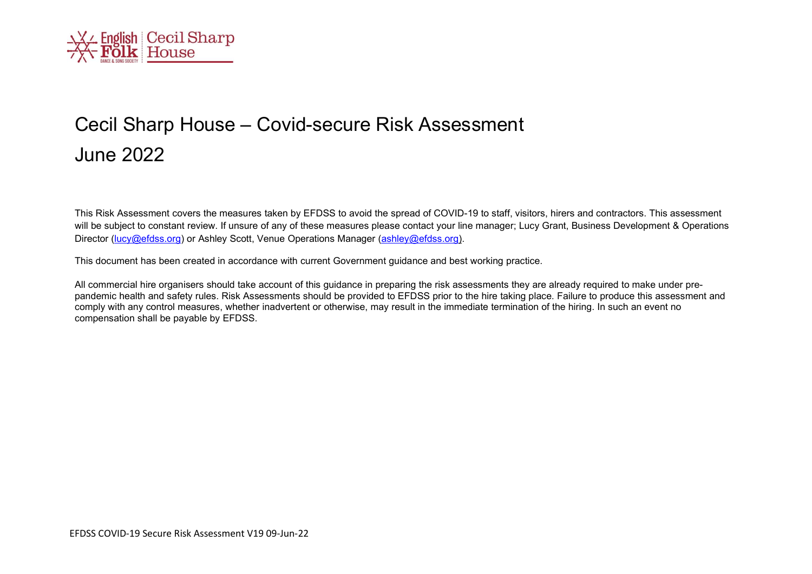

## Cecil Sharp House – Covid-secure Risk Assessment June 2022

This Risk Assessment covers the measures taken by EFDSS to avoid the spread of COVID-19 to staff, visitors, hirers and contractors. This assessment will be subject to constant review. If unsure of any of these measures please contact your line manager; Lucy Grant, Business Development & Operations Director (lucy@efdss.org) or Ashley Scott, Venue Operations Manager (ashley@efdss.org).

This document has been created in accordance with current Government guidance and best working practice.

All commercial hire organisers should take account of this guidance in preparing the risk assessments they are already required to make under prepandemic health and safety rules. Risk Assessments should be provided to EFDSS prior to the hire taking place. Failure to produce this assessment and comply with any control measures, whether inadvertent or otherwise, may result in the immediate termination of the hiring. In such an event no compensation shall be payable by EFDSS.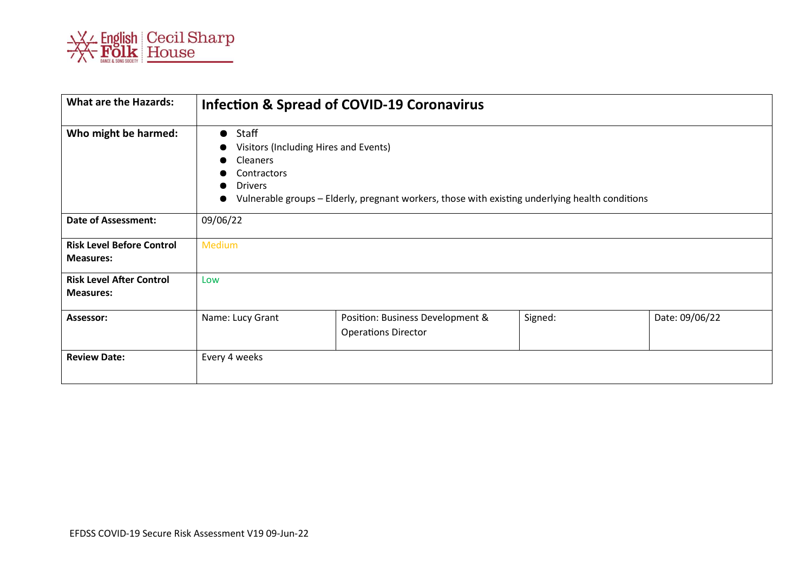

| <b>What are the Hazards:</b>                         |                                                                                                                              | <b>Infection &amp; Spread of COVID-19 Coronavirus</b>                                           |         |                |
|------------------------------------------------------|------------------------------------------------------------------------------------------------------------------------------|-------------------------------------------------------------------------------------------------|---------|----------------|
| Who might be harmed:                                 | Staff<br>$\bullet$<br>Visitors (Including Hires and Events)<br><b>Cleaners</b><br>Contractors<br><b>Drivers</b><br>$\bullet$ | Vulnerable groups - Elderly, pregnant workers, those with existing underlying health conditions |         |                |
| <b>Date of Assessment:</b>                           | 09/06/22                                                                                                                     |                                                                                                 |         |                |
| <b>Risk Level Before Control</b><br><b>Measures:</b> | Medium                                                                                                                       |                                                                                                 |         |                |
| <b>Risk Level After Control</b><br><b>Measures:</b>  | Low                                                                                                                          |                                                                                                 |         |                |
| Assessor:                                            | Name: Lucy Grant                                                                                                             | Position: Business Development &<br><b>Operations Director</b>                                  | Signed: | Date: 09/06/22 |
| <b>Review Date:</b>                                  | Every 4 weeks                                                                                                                |                                                                                                 |         |                |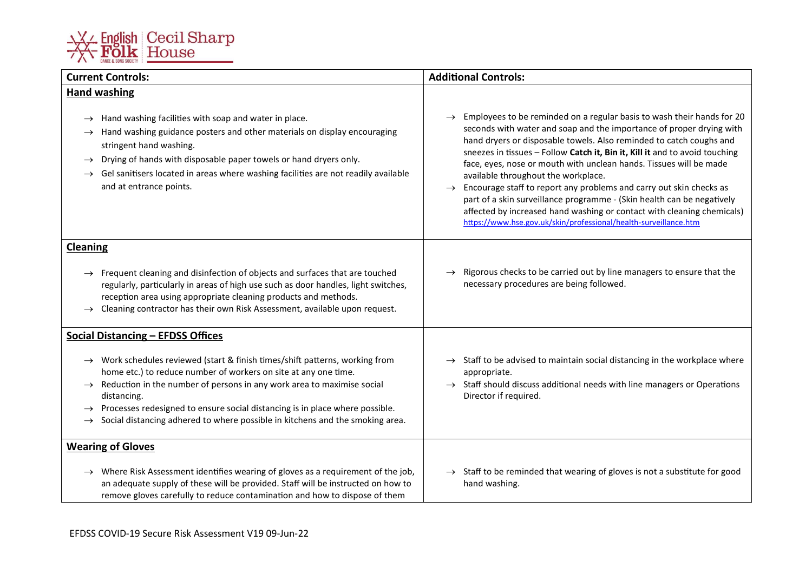

| <b>Current Controls:</b>                                                                                                                                                                                                                                                                                                                                                                                                                                              | <b>Additional Controls:</b>                                                                                                                                                                                                                                                                                                                                                                                                                                                                                                                                                                                                                                                                                                                        |  |
|-----------------------------------------------------------------------------------------------------------------------------------------------------------------------------------------------------------------------------------------------------------------------------------------------------------------------------------------------------------------------------------------------------------------------------------------------------------------------|----------------------------------------------------------------------------------------------------------------------------------------------------------------------------------------------------------------------------------------------------------------------------------------------------------------------------------------------------------------------------------------------------------------------------------------------------------------------------------------------------------------------------------------------------------------------------------------------------------------------------------------------------------------------------------------------------------------------------------------------------|--|
| <b>Hand washing</b>                                                                                                                                                                                                                                                                                                                                                                                                                                                   |                                                                                                                                                                                                                                                                                                                                                                                                                                                                                                                                                                                                                                                                                                                                                    |  |
| Hand washing facilities with soap and water in place.<br>$\rightarrow$<br>$\rightarrow$ Hand washing guidance posters and other materials on display encouraging<br>stringent hand washing.<br>$\rightarrow$ Drying of hands with disposable paper towels or hand dryers only.<br>Gel sanitisers located in areas where washing facilities are not readily available<br>$\rightarrow$<br>and at entrance points.                                                      | Employees to be reminded on a regular basis to wash their hands for 20<br>$\rightarrow$<br>seconds with water and soap and the importance of proper drying with<br>hand dryers or disposable towels. Also reminded to catch coughs and<br>sneezes in tissues - Follow Catch it, Bin it, Kill it and to avoid touching<br>face, eyes, nose or mouth with unclean hands. Tissues will be made<br>available throughout the workplace.<br>Encourage staff to report any problems and carry out skin checks as<br>$\rightarrow$<br>part of a skin surveillance programme - (Skin health can be negatively<br>affected by increased hand washing or contact with cleaning chemicals)<br>https://www.hse.gov.uk/skin/professional/health-surveillance.htm |  |
| <b>Cleaning</b>                                                                                                                                                                                                                                                                                                                                                                                                                                                       |                                                                                                                                                                                                                                                                                                                                                                                                                                                                                                                                                                                                                                                                                                                                                    |  |
| $\rightarrow$ Frequent cleaning and disinfection of objects and surfaces that are touched<br>regularly, particularly in areas of high use such as door handles, light switches,<br>reception area using appropriate cleaning products and methods.<br>$\rightarrow$ Cleaning contractor has their own Risk Assessment, available upon request.                                                                                                                        | Rigorous checks to be carried out by line managers to ensure that the<br>$\rightarrow$<br>necessary procedures are being followed.                                                                                                                                                                                                                                                                                                                                                                                                                                                                                                                                                                                                                 |  |
| <b>Social Distancing - EFDSS Offices</b>                                                                                                                                                                                                                                                                                                                                                                                                                              |                                                                                                                                                                                                                                                                                                                                                                                                                                                                                                                                                                                                                                                                                                                                                    |  |
| $\rightarrow$ Work schedules reviewed (start & finish times/shift patterns, working from<br>home etc.) to reduce number of workers on site at any one time.<br>Reduction in the number of persons in any work area to maximise social<br>$\rightarrow$<br>distancing.<br>Processes redesigned to ensure social distancing is in place where possible.<br>$\rightarrow$<br>$\rightarrow$ Social distancing adhered to where possible in kitchens and the smoking area. | Staff to be advised to maintain social distancing in the workplace where<br>$\rightarrow$<br>appropriate.<br>$\rightarrow$ Staff should discuss additional needs with line managers or Operations<br>Director if required.                                                                                                                                                                                                                                                                                                                                                                                                                                                                                                                         |  |
| <b>Wearing of Gloves</b>                                                                                                                                                                                                                                                                                                                                                                                                                                              |                                                                                                                                                                                                                                                                                                                                                                                                                                                                                                                                                                                                                                                                                                                                                    |  |
| Where Risk Assessment identifies wearing of gloves as a requirement of the job,<br>$\rightarrow$<br>an adequate supply of these will be provided. Staff will be instructed on how to<br>remove gloves carefully to reduce contamination and how to dispose of them                                                                                                                                                                                                    | $\rightarrow$ Staff to be reminded that wearing of gloves is not a substitute for good<br>hand washing.                                                                                                                                                                                                                                                                                                                                                                                                                                                                                                                                                                                                                                            |  |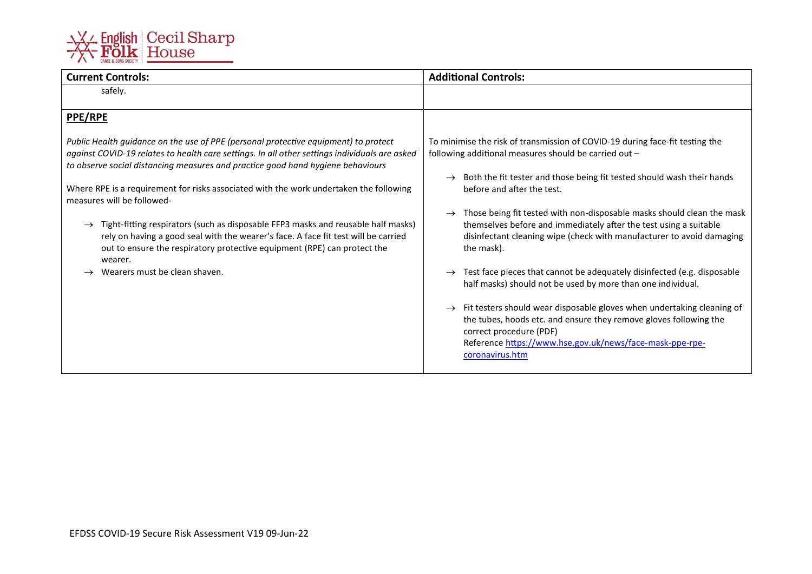

| <b>Additional Controls:</b>                                                                                                                                                                                                                                                                                                                                                                                                                                                                                                                                                                                                                                                                                                                                                                                                                                                       |  |
|-----------------------------------------------------------------------------------------------------------------------------------------------------------------------------------------------------------------------------------------------------------------------------------------------------------------------------------------------------------------------------------------------------------------------------------------------------------------------------------------------------------------------------------------------------------------------------------------------------------------------------------------------------------------------------------------------------------------------------------------------------------------------------------------------------------------------------------------------------------------------------------|--|
|                                                                                                                                                                                                                                                                                                                                                                                                                                                                                                                                                                                                                                                                                                                                                                                                                                                                                   |  |
|                                                                                                                                                                                                                                                                                                                                                                                                                                                                                                                                                                                                                                                                                                                                                                                                                                                                                   |  |
|                                                                                                                                                                                                                                                                                                                                                                                                                                                                                                                                                                                                                                                                                                                                                                                                                                                                                   |  |
| To minimise the risk of transmission of COVID-19 during face-fit testing the<br>following additional measures should be carried out -<br>Both the fit tester and those being fit tested should wash their hands<br>before and after the test.<br>$\rightarrow$ Those being fit tested with non-disposable masks should clean the mask<br>themselves before and immediately after the test using a suitable<br>disinfectant cleaning wipe (check with manufacturer to avoid damaging<br>Test face pieces that cannot be adequately disinfected (e.g. disposable<br>half masks) should not be used by more than one individual.<br>$\rightarrow$ Fit testers should wear disposable gloves when undertaking cleaning of<br>the tubes, hoods etc. and ensure they remove gloves following the<br>correct procedure (PDF)<br>Reference https://www.hse.gov.uk/news/face-mask-ppe-rpe- |  |
|                                                                                                                                                                                                                                                                                                                                                                                                                                                                                                                                                                                                                                                                                                                                                                                                                                                                                   |  |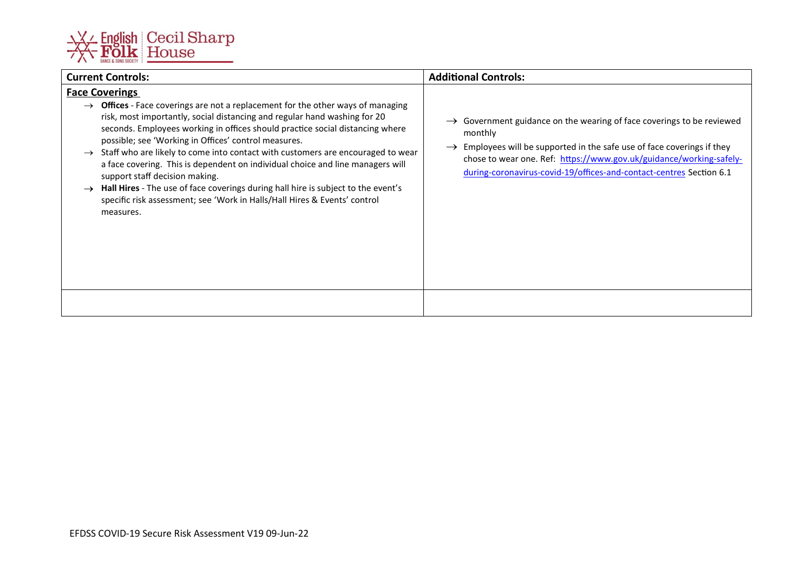

| <b>Current Controls:</b>                                                                                                                                                                                                                                                                                                                                                                                                                                                                                                                                                                                                                                                                                                                                               | <b>Additional Controls:</b>                                                                                                                                                                                                                                                                                                       |
|------------------------------------------------------------------------------------------------------------------------------------------------------------------------------------------------------------------------------------------------------------------------------------------------------------------------------------------------------------------------------------------------------------------------------------------------------------------------------------------------------------------------------------------------------------------------------------------------------------------------------------------------------------------------------------------------------------------------------------------------------------------------|-----------------------------------------------------------------------------------------------------------------------------------------------------------------------------------------------------------------------------------------------------------------------------------------------------------------------------------|
| <b>Face Coverings</b><br><b>Offices</b> - Face coverings are not a replacement for the other ways of managing<br>$\rightarrow$<br>risk, most importantly, social distancing and regular hand washing for 20<br>seconds. Employees working in offices should practice social distancing where<br>possible; see 'Working in Offices' control measures.<br>$\rightarrow$ Staff who are likely to come into contact with customers are encouraged to wear<br>a face covering. This is dependent on individual choice and line managers will<br>support staff decision making.<br>$\rightarrow$ Hall Hires - The use of face coverings during hall hire is subject to the event's<br>specific risk assessment; see 'Work in Halls/Hall Hires & Events' control<br>measures. | $\rightarrow$ Government guidance on the wearing of face coverings to be reviewed<br>monthly<br>$\rightarrow$ Employees will be supported in the safe use of face coverings if they<br>chose to wear one. Ref: https://www.gov.uk/guidance/working-safely-<br>during-coronavirus-covid-19/offices-and-contact-centres Section 6.1 |
|                                                                                                                                                                                                                                                                                                                                                                                                                                                                                                                                                                                                                                                                                                                                                                        |                                                                                                                                                                                                                                                                                                                                   |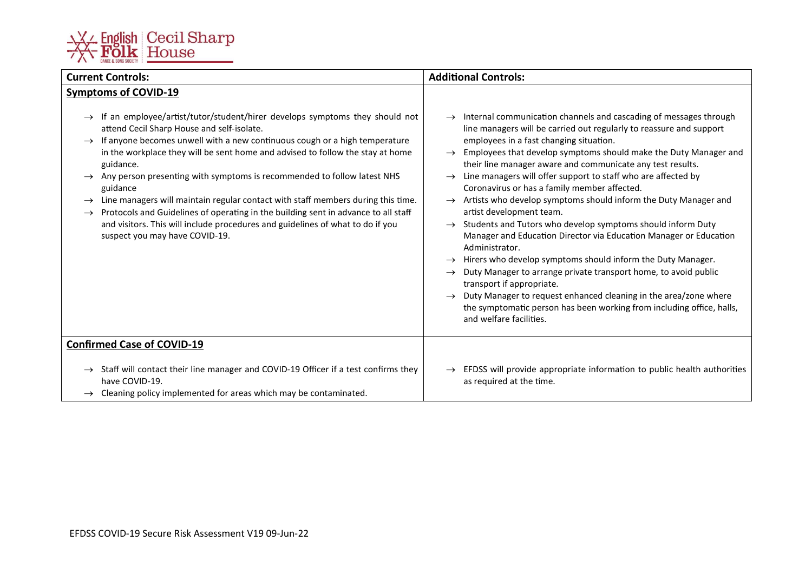

| <b>Current Controls:</b>                                                                                                                                                                                                                                                                                                                                                                                                                                                                                                                                                                                                                                                                                                                                                | <b>Additional Controls:</b>                                                                                                                                                                                                                                                                                                                                                                                                                                                                                                                                                                                                                                                                                                                                                                                                                                                                                                                                                                                                                                                                                       |  |  |
|-------------------------------------------------------------------------------------------------------------------------------------------------------------------------------------------------------------------------------------------------------------------------------------------------------------------------------------------------------------------------------------------------------------------------------------------------------------------------------------------------------------------------------------------------------------------------------------------------------------------------------------------------------------------------------------------------------------------------------------------------------------------------|-------------------------------------------------------------------------------------------------------------------------------------------------------------------------------------------------------------------------------------------------------------------------------------------------------------------------------------------------------------------------------------------------------------------------------------------------------------------------------------------------------------------------------------------------------------------------------------------------------------------------------------------------------------------------------------------------------------------------------------------------------------------------------------------------------------------------------------------------------------------------------------------------------------------------------------------------------------------------------------------------------------------------------------------------------------------------------------------------------------------|--|--|
| <b>Symptoms of COVID-19</b>                                                                                                                                                                                                                                                                                                                                                                                                                                                                                                                                                                                                                                                                                                                                             |                                                                                                                                                                                                                                                                                                                                                                                                                                                                                                                                                                                                                                                                                                                                                                                                                                                                                                                                                                                                                                                                                                                   |  |  |
| $\rightarrow$ If an employee/artist/tutor/student/hirer develops symptoms they should not<br>attend Cecil Sharp House and self-isolate.<br>$\rightarrow$ If anyone becomes unwell with a new continuous cough or a high temperature<br>in the workplace they will be sent home and advised to follow the stay at home<br>guidance.<br>$\rightarrow$ Any person presenting with symptoms is recommended to follow latest NHS<br>guidance<br>Line managers will maintain regular contact with staff members during this time.<br>$\rightarrow$<br>Protocols and Guidelines of operating in the building sent in advance to all staff<br>$\rightarrow$<br>and visitors. This will include procedures and guidelines of what to do if you<br>suspect you may have COVID-19. | Internal communication channels and cascading of messages through<br>$\rightarrow$<br>line managers will be carried out regularly to reassure and support<br>employees in a fast changing situation.<br>Employees that develop symptoms should make the Duty Manager and<br>$\rightarrow$<br>their line manager aware and communicate any test results.<br>Line managers will offer support to staff who are affected by<br>Coronavirus or has a family member affected.<br>$\rightarrow$ Artists who develop symptoms should inform the Duty Manager and<br>artist development team.<br>Students and Tutors who develop symptoms should inform Duty<br>$\rightarrow$<br>Manager and Education Director via Education Manager or Education<br>Administrator.<br>$\rightarrow$ Hirers who develop symptoms should inform the Duty Manager.<br>Duty Manager to arrange private transport home, to avoid public<br>transport if appropriate.<br>Duty Manager to request enhanced cleaning in the area/zone where<br>the symptomatic person has been working from including office, halls,<br>and welfare facilities. |  |  |
| <b>Confirmed Case of COVID-19</b>                                                                                                                                                                                                                                                                                                                                                                                                                                                                                                                                                                                                                                                                                                                                       |                                                                                                                                                                                                                                                                                                                                                                                                                                                                                                                                                                                                                                                                                                                                                                                                                                                                                                                                                                                                                                                                                                                   |  |  |
| Staff will contact their line manager and COVID-19 Officer if a test confirms they<br>$\rightarrow$<br>have COVID-19.<br>$\rightarrow$ Cleaning policy implemented for areas which may be contaminated.                                                                                                                                                                                                                                                                                                                                                                                                                                                                                                                                                                 | EFDSS will provide appropriate information to public health authorities<br>$\rightarrow$<br>as required at the time.                                                                                                                                                                                                                                                                                                                                                                                                                                                                                                                                                                                                                                                                                                                                                                                                                                                                                                                                                                                              |  |  |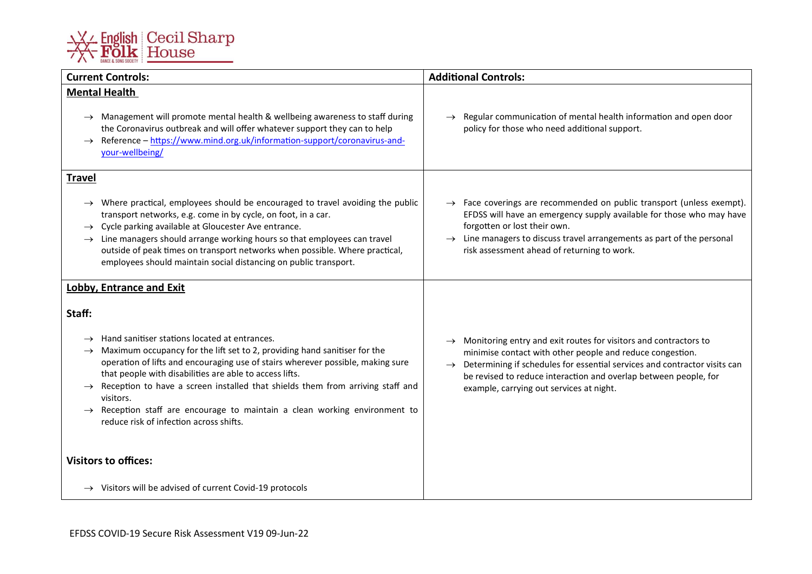

| <b>Current Controls:</b>                                                                                                                                                                                                                                                                                                                                                                                                                                                                                                                                                                     | <b>Additional Controls:</b>                                                                                                                                                                                                                                                                                                                               |  |
|----------------------------------------------------------------------------------------------------------------------------------------------------------------------------------------------------------------------------------------------------------------------------------------------------------------------------------------------------------------------------------------------------------------------------------------------------------------------------------------------------------------------------------------------------------------------------------------------|-----------------------------------------------------------------------------------------------------------------------------------------------------------------------------------------------------------------------------------------------------------------------------------------------------------------------------------------------------------|--|
| <b>Mental Health</b><br>$\rightarrow$ Management will promote mental health & wellbeing awareness to staff during<br>the Coronavirus outbreak and will offer whatever support they can to help<br>$\rightarrow$ Reference - https://www.mind.org.uk/information-support/coronavirus-and-<br>your-wellbeing/                                                                                                                                                                                                                                                                                  | Regular communication of mental health information and open door<br>$\rightarrow$<br>policy for those who need additional support.                                                                                                                                                                                                                        |  |
| <b>Travel</b><br>$\rightarrow$ Where practical, employees should be encouraged to travel avoiding the public<br>transport networks, e.g. come in by cycle, on foot, in a car.<br>$\rightarrow$ Cycle parking available at Gloucester Ave entrance.<br>$\rightarrow$ Line managers should arrange working hours so that employees can travel<br>outside of peak times on transport networks when possible. Where practical,<br>employees should maintain social distancing on public transport.                                                                                               | $\rightarrow$ Face coverings are recommended on public transport (unless exempt).<br>EFDSS will have an emergency supply available for those who may have<br>forgotten or lost their own.<br>$\rightarrow$ Line managers to discuss travel arrangements as part of the personal<br>risk assessment ahead of returning to work.                            |  |
| Lobby, Entrance and Exit<br>Staff:<br>$\rightarrow$ Hand sanitiser stations located at entrances.<br>$\rightarrow$ Maximum occupancy for the lift set to 2, providing hand sanitiser for the<br>operation of lifts and encouraging use of stairs wherever possible, making sure<br>that people with disabilities are able to access lifts.<br>$\rightarrow$ Reception to have a screen installed that shields them from arriving staff and<br>visitors.<br>$\rightarrow$ Reception staff are encourage to maintain a clean working environment to<br>reduce risk of infection across shifts. | $\rightarrow$ Monitoring entry and exit routes for visitors and contractors to<br>minimise contact with other people and reduce congestion.<br>Determining if schedules for essential services and contractor visits can<br>$\rightarrow$<br>be revised to reduce interaction and overlap between people, for<br>example, carrying out services at night. |  |
| <b>Visitors to offices:</b>                                                                                                                                                                                                                                                                                                                                                                                                                                                                                                                                                                  |                                                                                                                                                                                                                                                                                                                                                           |  |
| $\rightarrow$ Visitors will be advised of current Covid-19 protocols                                                                                                                                                                                                                                                                                                                                                                                                                                                                                                                         |                                                                                                                                                                                                                                                                                                                                                           |  |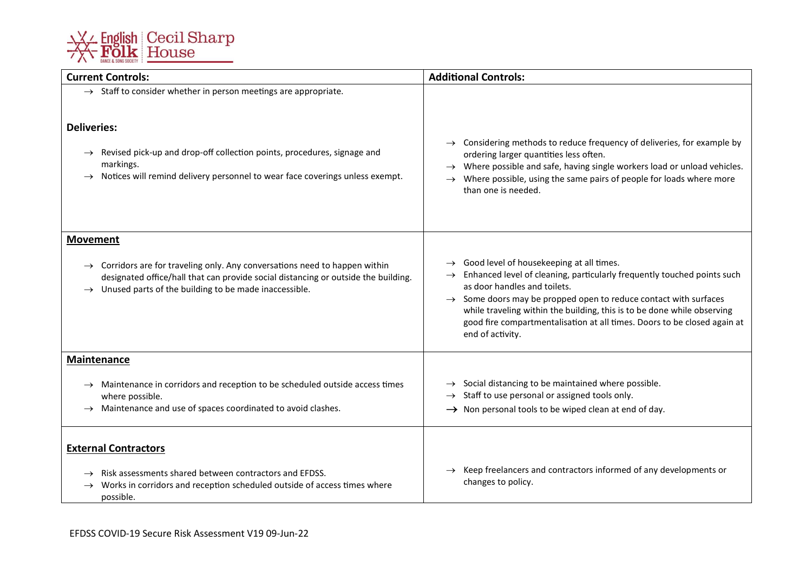

| <b>Current Controls:</b>                                                                                                                                                                                                                                                                              | <b>Additional Controls:</b>                                                                                                                                                                                                                                                                                                                                                                                                                   |
|-------------------------------------------------------------------------------------------------------------------------------------------------------------------------------------------------------------------------------------------------------------------------------------------------------|-----------------------------------------------------------------------------------------------------------------------------------------------------------------------------------------------------------------------------------------------------------------------------------------------------------------------------------------------------------------------------------------------------------------------------------------------|
| $\rightarrow$ Staff to consider whether in person meetings are appropriate.<br><b>Deliveries:</b><br>$\rightarrow$ Revised pick-up and drop-off collection points, procedures, signage and<br>markings.<br>$\rightarrow$ Notices will remind delivery personnel to wear face coverings unless exempt. | Considering methods to reduce frequency of deliveries, for example by<br>ordering larger quantities less often.<br>$\rightarrow$ Where possible and safe, having single workers load or unload vehicles.<br>Where possible, using the same pairs of people for loads where more<br>than one is needed.                                                                                                                                        |
| <b>Movement</b><br>$\rightarrow$ Corridors are for traveling only. Any conversations need to happen within<br>designated office/hall that can provide social distancing or outside the building.<br>$\rightarrow$ Unused parts of the building to be made inaccessible.                               | $\rightarrow$ Good level of housekeeping at all times.<br>Enhanced level of cleaning, particularly frequently touched points such<br>$\rightarrow$<br>as door handles and toilets.<br>$\rightarrow$ Some doors may be propped open to reduce contact with surfaces<br>while traveling within the building, this is to be done while observing<br>good fire compartmentalisation at all times. Doors to be closed again at<br>end of activity. |
| <b>Maintenance</b>                                                                                                                                                                                                                                                                                    |                                                                                                                                                                                                                                                                                                                                                                                                                                               |
| $\rightarrow$ Maintenance in corridors and reception to be scheduled outside access times<br>where possible.<br>$\rightarrow$ Maintenance and use of spaces coordinated to avoid clashes.                                                                                                             | $\rightarrow$ Social distancing to be maintained where possible.<br>$\rightarrow$ Staff to use personal or assigned tools only.<br>$\rightarrow$ Non personal tools to be wiped clean at end of day.                                                                                                                                                                                                                                          |
| <b>External Contractors</b>                                                                                                                                                                                                                                                                           |                                                                                                                                                                                                                                                                                                                                                                                                                                               |
| Risk assessments shared between contractors and EFDSS.<br>$\rightarrow$<br>Works in corridors and reception scheduled outside of access times where<br>$\rightarrow$<br>possible.                                                                                                                     | $\rightarrow$ Keep freelancers and contractors informed of any developments or<br>changes to policy.                                                                                                                                                                                                                                                                                                                                          |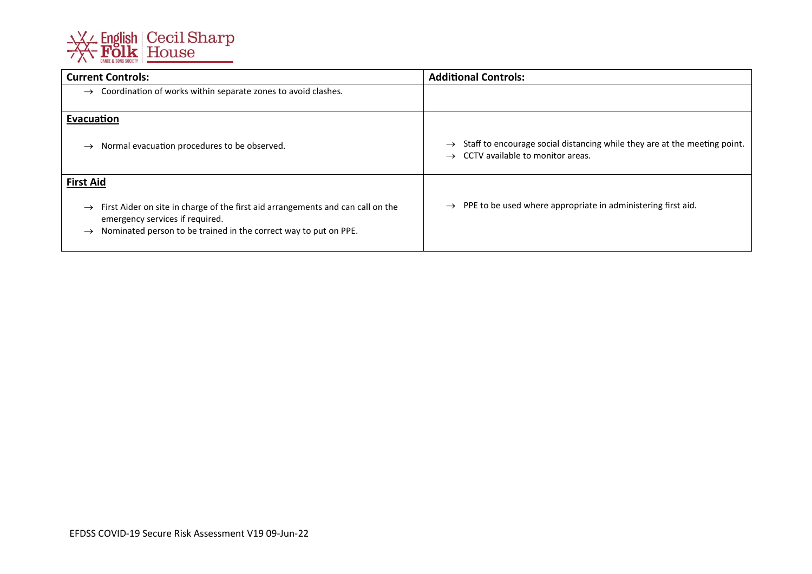

| <b>Current Controls:</b>                                                                                                                                                                                                 | <b>Additional Controls:</b>                                                                                                    |  |
|--------------------------------------------------------------------------------------------------------------------------------------------------------------------------------------------------------------------------|--------------------------------------------------------------------------------------------------------------------------------|--|
| Coordination of works within separate zones to avoid clashes.<br>$\rightarrow$                                                                                                                                           |                                                                                                                                |  |
| Evacuation                                                                                                                                                                                                               |                                                                                                                                |  |
| Normal evacuation procedures to be observed.                                                                                                                                                                             | Staff to encourage social distancing while they are at the meeting point.<br>$\rightarrow$<br>CCTV available to monitor areas. |  |
| <b>First Aid</b>                                                                                                                                                                                                         |                                                                                                                                |  |
| First Aider on site in charge of the first aid arrangements and can call on the<br>$\rightarrow$<br>emergency services if required.<br>Nominated person to be trained in the correct way to put on PPE.<br>$\rightarrow$ | PPE to be used where appropriate in administering first aid.<br>$\rightarrow$                                                  |  |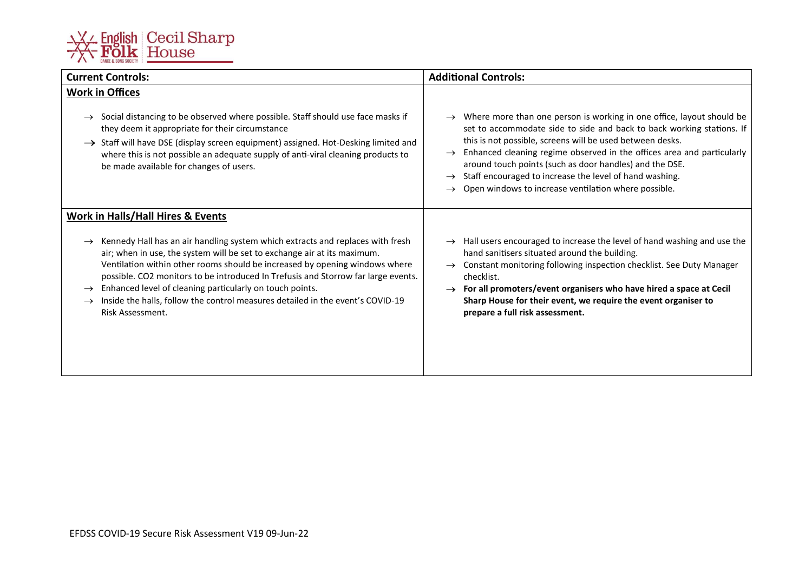

| <b>Current Controls:</b>                                                                                                                                                                                                                                                                                                                                                                                                                                                                                                                                                                            | <b>Additional Controls:</b>                                                                                                                                                                                                                                                                                                                                                                                                                                                                                      |
|-----------------------------------------------------------------------------------------------------------------------------------------------------------------------------------------------------------------------------------------------------------------------------------------------------------------------------------------------------------------------------------------------------------------------------------------------------------------------------------------------------------------------------------------------------------------------------------------------------|------------------------------------------------------------------------------------------------------------------------------------------------------------------------------------------------------------------------------------------------------------------------------------------------------------------------------------------------------------------------------------------------------------------------------------------------------------------------------------------------------------------|
| <b>Work in Offices</b><br>Social distancing to be observed where possible. Staff should use face masks if<br>$\rightarrow$<br>they deem it appropriate for their circumstance<br>→ Staff will have DSE (display screen equipment) assigned. Hot-Desking limited and<br>where this is not possible an adequate supply of anti-viral cleaning products to<br>be made available for changes of users.                                                                                                                                                                                                  | $\rightarrow$ Where more than one person is working in one office, layout should be<br>set to accommodate side to side and back to back working stations. If<br>this is not possible, screens will be used between desks.<br>Enhanced cleaning regime observed in the offices area and particularly<br>$\rightarrow$<br>around touch points (such as door handles) and the DSE.<br>Staff encouraged to increase the level of hand washing.<br>$\rightarrow$ Open windows to increase ventilation where possible. |
| <b>Work in Halls/Hall Hires &amp; Events</b><br>Kennedy Hall has an air handling system which extracts and replaces with fresh<br>$\rightarrow$<br>air; when in use, the system will be set to exchange air at its maximum.<br>Ventilation within other rooms should be increased by opening windows where<br>possible. CO2 monitors to be introduced In Trefusis and Storrow far large events.<br>Enhanced level of cleaning particularly on touch points.<br>$\rightarrow$<br>Inside the halls, follow the control measures detailed in the event's COVID-19<br>$\rightarrow$<br>Risk Assessment. | Hall users encouraged to increase the level of hand washing and use the<br>$\rightarrow$<br>hand sanitisers situated around the building.<br>Constant monitoring following inspection checklist. See Duty Manager<br>$\rightarrow$<br>checklist.<br>For all promoters/event organisers who have hired a space at Cecil<br>$\rightarrow$<br>Sharp House for their event, we require the event organiser to<br>prepare a full risk assessment.                                                                     |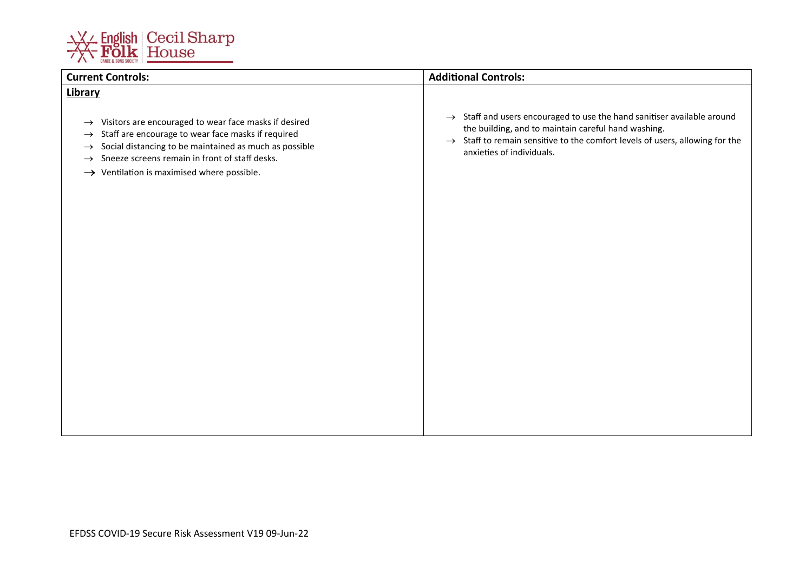

| <b>Current Controls:</b>                                                                                                                                                                                                                                                                                                                           | <b>Additional Controls:</b>                                                                                                                                                                                                                                         |  |
|----------------------------------------------------------------------------------------------------------------------------------------------------------------------------------------------------------------------------------------------------------------------------------------------------------------------------------------------------|---------------------------------------------------------------------------------------------------------------------------------------------------------------------------------------------------------------------------------------------------------------------|--|
| Library                                                                                                                                                                                                                                                                                                                                            |                                                                                                                                                                                                                                                                     |  |
| $\rightarrow$ Visitors are encouraged to wear face masks if desired<br>Staff are encourage to wear face masks if required<br>$\rightarrow$<br>Social distancing to be maintained as much as possible<br>$\rightarrow$<br>Sneeze screens remain in front of staff desks.<br>$\rightarrow$<br>$\rightarrow$ Ventilation is maximised where possible. | $\rightarrow$ Staff and users encouraged to use the hand sanitiser available around<br>the building, and to maintain careful hand washing.<br>$\rightarrow$ Staff to remain sensitive to the comfort levels of users, allowing for the<br>anxieties of individuals. |  |
|                                                                                                                                                                                                                                                                                                                                                    |                                                                                                                                                                                                                                                                     |  |
|                                                                                                                                                                                                                                                                                                                                                    |                                                                                                                                                                                                                                                                     |  |
|                                                                                                                                                                                                                                                                                                                                                    |                                                                                                                                                                                                                                                                     |  |
|                                                                                                                                                                                                                                                                                                                                                    |                                                                                                                                                                                                                                                                     |  |
|                                                                                                                                                                                                                                                                                                                                                    |                                                                                                                                                                                                                                                                     |  |